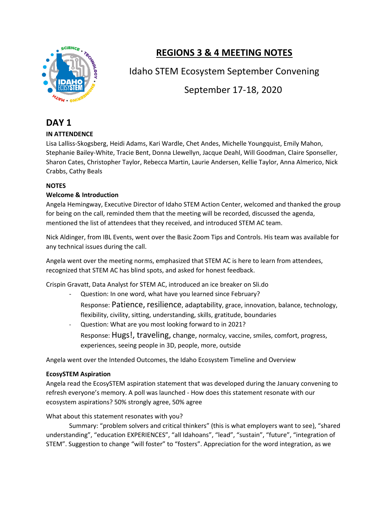

# **REGIONS 3 & 4 MEETING NOTES**

Idaho STEM Ecosystem September Convening

September 17-18, 2020

# **DAY 1**

# **IN ATTENDENCE**

Lisa Lalliss-Skogsberg, Heidi Adams, Kari Wardle, Chet Andes, Michelle Youngquist, Emily Mahon, Stephanie Bailey-White, Tracie Bent, Donna Llewellyn, Jacque Deahl, Will Goodman, Claire Sponseller, Sharon Cates, Christopher Taylor, Rebecca Martin, Laurie Andersen, Kellie Taylor, Anna Almerico, Nick Crabbs, Cathy Beals

# **NOTES**

# **Welcome & Introduction**

Angela Hemingway, Executive Director of Idaho STEM Action Center, welcomed and thanked the group for being on the call, reminded them that the meeting will be recorded, discussed the agenda, mentioned the list of attendees that they received, and introduced STEM AC team.

Nick Aldinger, from IBL Events, went over the Basic Zoom Tips and Controls. His team was available for any technical issues during the call.

Angela went over the meeting norms, emphasized that STEM AC is here to learn from attendees, recognized that STEM AC has blind spots, and asked for honest feedback.

Crispin Gravatt, Data Analyst for STEM AC, introduced an ice breaker on Sli.do

- Question: In one word, what have you learned since February?
	- Response: Patience, resilience, adaptability, grace, innovation, balance, technology, flexibility, civility, sitting, understanding, skills, gratitude, boundaries
- Question: What are you most looking forward to in 2021? Response: Hugs!, traveling, change, normalcy, vaccine, smiles, comfort, progress, experiences, seeing people in 3D, people, more, outside

Angela went over the Intended Outcomes, the Idaho Ecosystem Timeline and Overview

# **EcosySTEM Aspiration**

Angela read the EcosySTEM aspiration statement that was developed during the January convening to refresh everyone's memory. A poll was launched - How does this statement resonate with our ecosystem aspirations? 50% strongly agree, 50% agree

# What about this statement resonates with you?

Summary: "problem solvers and critical thinkers" (this is what employers want to see), "shared understanding", "education EXPERIENCES", "all Idahoans", "lead", "sustain", "future", "integration of STEM". Suggestion to change "will foster" to "fosters". Appreciation for the word integration, as we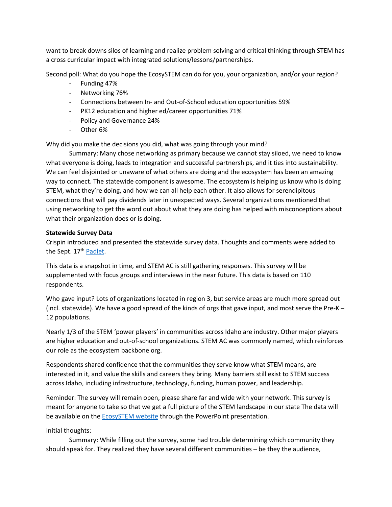want to break downs silos of learning and realize problem solving and critical thinking through STEM has a cross curricular impact with integrated solutions/lessons/partnerships.

Second poll: What do you hope the EcosySTEM can do for you, your organization, and/or your region?

- Funding 47%
- Networking 76%
- Connections between In- and Out-of-School education opportunities 59%
- PK12 education and higher ed/career opportunities 71%
- Policy and Governance 24%
- Other 6%

Why did you make the decisions you did, what was going through your mind?

Summary: Many chose networking as primary because we cannot stay siloed, we need to know what everyone is doing, leads to integration and successful partnerships, and it ties into sustainability. We can feel disjointed or unaware of what others are doing and the ecosystem has been an amazing way to connect. The statewide component is awesome. The ecosystem is helping us know who is doing STEM, what they're doing, and how we can all help each other. It also allows for serendipitous connections that will pay dividends later in unexpected ways. Several organizations mentioned that using networking to get the word out about what they are doing has helped with misconceptions about what their organization does or is doing.

### **Statewide Survey Data**

Crispin introduced and presented the statewide survey data. Thoughts and comments were added to the Sept. 17<sup>th</sup> [Padlet.](https://padlet.com/crispingravatt/70rst835u21vx22v)

This data is a snapshot in time, and STEM AC is still gathering responses. This survey will be supplemented with focus groups and interviews in the near future. This data is based on 110 respondents.

Who gave input? Lots of organizations located in region 3, but service areas are much more spread out (incl. statewide). We have a good spread of the kinds of orgs that gave input, and most serve the Pre-K – 12 populations.

Nearly 1/3 of the STEM 'power players' in communities across Idaho are industry. Other major players are higher education and out-of-school organizations. STEM AC was commonly named, which reinforces our role as the ecosystem backbone org.

Respondents shared confidence that the communities they serve know what STEM means, are interested in it, and value the skills and careers they bring. Many barriers still exist to STEM success across Idaho, including infrastructure, technology, funding, human power, and leadership.

Reminder: The survey will remain open, please share far and wide with your network. This survey is meant for anyone to take so that we get a full picture of the STEM landscape in our state The data will be available on the [EcosySTEM website](https://stem.idaho.gov/idaho-stem-ecosystem/) through the PowerPoint presentation.

# Initial thoughts:

Summary: While filling out the survey, some had trouble determining which community they should speak for. They realized they have several different communities – be they the audience,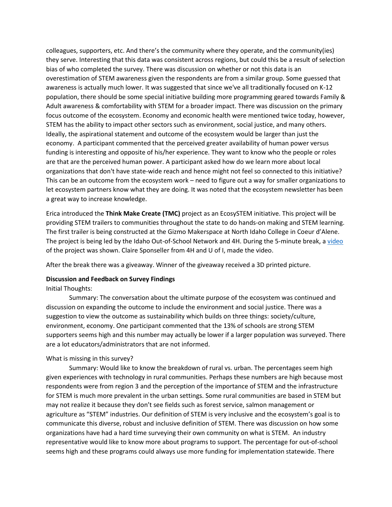colleagues, supporters, etc. And there's the community where they operate, and the community(ies) they serve. Interesting that this data was consistent across regions, but could this be a result of selection bias of who completed the survey. There was discussion on whether or not this data is an overestimation of STEM awareness given the respondents are from a similar group. Some guessed that awareness is actually much lower. It was suggested that since we've all traditionally focused on K-12 population, there should be some special initiative building more programming geared towards Family & Adult awareness & comfortability with STEM for a broader impact. There was discussion on the primary focus outcome of the ecosystem. Economy and economic health were mentioned twice today, however, STEM has the ability to impact other sectors such as environment, social justice, and many others. Ideally, the aspirational statement and outcome of the ecosystem would be larger than just the economy. A participant commented that the perceived greater availability of human power versus funding is interesting and opposite of his/her experience. They want to know who the people or roles are that are the perceived human power. A participant asked how do we learn more about local organizations that don't have state-wide reach and hence might not feel so connected to this initiative? This can be an outcome from the ecosystem work – need to figure out a way for smaller organizations to let ecosystem partners know what they are doing. It was noted that the ecosystem newsletter has been a great way to increase knowledge.

Erica introduced the **Think Make Create (TMC)** project as an EcosySTEM initiative. This project will be providing STEM trailers to communities throughout the state to do hands-on making and STEM learning. The first trailer is being constructed at the Gizmo Makerspace at North Idaho College in Coeur d'Alene. The project is being led by the Idaho Out-of-School Network and 4H. During the 5-minute break, [a video](https://www.youtube.com/watch?v=OGItg1fnpEc&feature=youtu.be) of the project was shown. Claire Sponseller from 4H and U of I, made the video.

After the break there was a giveaway. Winner of the giveaway received a 3D printed picture.

### **Discussion and Feedback on Survey Findings**

### Initial Thoughts:

Summary: The conversation about the ultimate purpose of the ecosystem was continued and discussion on expanding the outcome to include the environment and social justice. There was a suggestion to view the outcome as sustainability which builds on three things: society/culture, environment, economy. One participant commented that the 13% of schools are strong STEM supporters seems high and this number may actually be lower if a larger population was surveyed. There are a lot educators/administrators that are not informed.

### What is missing in this survey?

Summary: Would like to know the breakdown of rural vs. urban. The percentages seem high given experiences with technology in rural communities. Perhaps these numbers are high because most respondents were from region 3 and the perception of the importance of STEM and the infrastructure for STEM is much more prevalent in the urban settings. Some rural communities are based in STEM but may not realize it because they don't see fields such as forest service, salmon management or agriculture as "STEM" industries. Our definition of STEM is very inclusive and the ecosystem's goal is to communicate this diverse, robust and inclusive definition of STEM. There was discussion on how some organizations have had a hard time surveying their own community on what is STEM. An industry representative would like to know more about programs to support. The percentage for out-of-school seems high and these programs could always use more funding for implementation statewide. There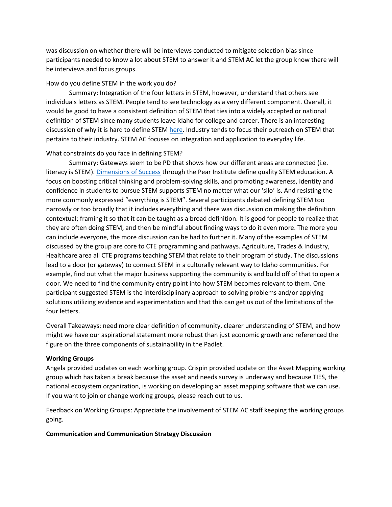was discussion on whether there will be interviews conducted to mitigate selection bias since participants needed to know a lot about STEM to answer it and STEM AC let the group know there will be interviews and focus groups.

### How do you define STEM in the work you do?

Summary: Integration of the four letters in STEM, however, understand that others see individuals letters as STEM. People tend to see technology as a very different component. Overall, it would be good to have a consistent definition of STEM that ties into a widely accepted or national definition of STEM since many students leave Idaho for college and career. There is an interesting discussion of why it is hard to define STE[M here.](https://www.invent.org/blog/trends-stem/stem-define) Industry tends to focus their outreach on STEM that pertains to their industry. STEM AC focuses on integration and application to everyday life.

### What constraints do you face in defining STEM?

Summary: Gateways seem to be PD that shows how our different areas are connected (i.e. literacy is STEM). [Dimensions of Success](https://www.pearinc.org/dimensions-of-success) through the Pear Institute define quality STEM education. A focus on boosting critical thinking and problem-solving skills, and promoting awareness, identity and confidence in students to pursue STEM supports STEM no matter what our 'silo' is. And resisting the more commonly expressed "everything is STEM". Several participants debated defining STEM too narrowly or too broadly that it includes everything and there was discussion on making the definition contextual; framing it so that it can be taught as a broad definition. It is good for people to realize that they are often doing STEM, and then be mindful about finding ways to do it even more. The more you can include everyone, the more discussion can be had to further it. Many of the examples of STEM discussed by the group are core to CTE programming and pathways. Agriculture, Trades & Industry, Healthcare area all CTE programs teaching STEM that relate to their program of study. The discussions lead to a door (or gateway) to connect STEM in a culturally relevant way to Idaho communities. For example, find out what the major business supporting the community is and build off of that to open a door. We need to find the community entry point into how STEM becomes relevant to them. One participant suggested STEM is the interdisciplinary approach to solving problems and/or applying solutions utilizing evidence and experimentation and that this can get us out of the limitations of the four letters.

Overall Takeaways: need more clear definition of community, clearer understanding of STEM, and how might we have our aspirational statement more robust than just economic growth and referenced the figure on the three components of sustainability in the Padlet.

### **Working Groups**

Angela provided updates on each working group. Crispin provided update on the Asset Mapping working group which has taken a break because the asset and needs survey is underway and because TIES, the national ecosystem organization, is working on developing an asset mapping software that we can use. If you want to join or change working groups, please reach out to us.

Feedback on Working Groups: Appreciate the involvement of STEM AC staff keeping the working groups going.

### **Communication and Communication Strategy Discussion**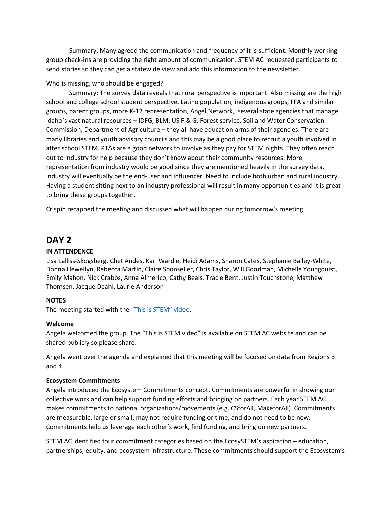Summary: Many agreed the communication and frequency of it is sufficient. Monthly working group check-ins are providing the right amount of communication. STEM AC requested participants to send stories so they can get a statewide view and add this information to the newsletter.

### Who is missing, who should be engaged?

Summary: The survey data reveals that rural perspective is important. Also missing are the high school and college school student perspective, Latino population, indigenous groups, FFA and similar groups, parent groups, more K-12 representation, Angel Network, several state agencies that manage Idaho's vast natural resources – IDFG, BLM, US F & G, Forest service, Soil and Water Conservation Commission, Department of Agriculture – they all have education arms of their agencies. There are many libraries and youth advisory councils and this may be a good place to recruit a youth involved in after school STEM. PTAs are a good network to involve as they pay for STEM nights. They often reach out to industry for help because they don't know about their community resources. More representation from industry would be good since they are mentioned heavily in the survey data. Industry will eventually be the end-user and influencer. Need to include both urban and rural industry. Having a student sitting next to an industry professional will result in many opportunities and it is great to bring these groups together.

Crispin recapped the meeting and discussed what will happen during tomorrow's meeting.

# **DAY 2**

### **IN ATTENDENCE**

Lisa Lalliss-Skogsberg, Chet Andes, Kari Wardle, Heidi Adams, Sharon Cates, Stephanie Bailey-White, Donna Llewellyn, Rebecca Martin, Claire Sponseller, Chris Taylor, Will Goodman, Michelle Youngquist, Emily Mahon, Nick Crabbs, Anna Almerico, Cathy Beals, Tracie Bent, Justin Touchstone, Matthew Thomsen, Jacque Deahl, Laurie Anderson

### **NOTES**

The meeting started with the ["This is STEM" video](https://youtu.be/1MM_oToOVEI).

### **Welcome**

Angela welcomed the group. The "This is STEM video" is available on STEM AC website and can be shared publicly so please share.

Angela went over the agenda and explained that this meeting will be focused on data from Regions 3 and 4.

### **Ecosystem Commitments**

Angela introduced the Ecosystem Commitments concept. Commitments are powerful in showing our collective work and can help support funding efforts and bringing on partners. Each year STEM AC makes commitments to national organizations/movements (e.g. CSforAll, MakeforAll). Commitments are measurable, large or small, may not require funding or time, and do not need to be new. Commitments help us leverage each other's work, find funding, and bring on new partners.

STEM AC identified four commitment categories based on the EcosySTEM's aspiration – education, partnerships, equity, and ecosystem infrastructure. These commitments should support the Ecosystem's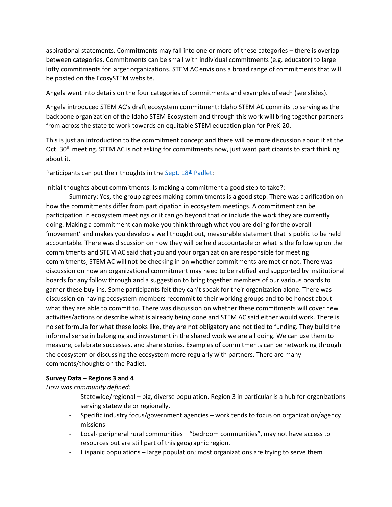aspirational statements. Commitments may fall into one or more of these categories – there is overlap between categories. Commitments can be small with individual commitments (e.g. educator) to large lofty commitments for larger organizations. STEM AC envisions a broad range of commitments that will be posted on the EcosySTEM website.

Angela went into details on the four categories of commitments and examples of each (see slides).

Angela introduced STEM AC's draft ecosystem commitment: Idaho STEM AC commits to serving as the backbone organization of the Idaho STEM Ecosystem and through this work will bring together partners from across the state to work towards an equitable STEM education plan for PreK-20.

This is just an introduction to the commitment concept and there will be more discussion about it at the Oct. 30<sup>th</sup> meeting. STEM AC is not asking for commitments now, just want participants to start thinking about it.

Participants can put their thoughts in the [Sept. 18](https://padlet.com/crispingravatt/4l3sfkc2g44l26tw)<sup>th</sup> Padlet:

Initial thoughts about commitments. Is making a commitment a good step to take?:

Summary: Yes, the group agrees making commitments is a good step. There was clarification on how the commitments differ from participation in ecosystem meetings. A commitment can be participation in ecosystem meetings or it can go beyond that or include the work they are currently doing. Making a commitment can make you think through what you are doing for the overall 'movement' and makes you develop a well thought out, measurable statement that is public to be held accountable. There was discussion on how they will be held accountable or what is the follow up on the commitments and STEM AC said that you and your organization are responsible for meeting commitments, STEM AC will not be checking in on whether commitments are met or not. There was discussion on how an organizational commitment may need to be ratified and supported by institutional boards for any follow through and a suggestion to bring together members of our various boards to garner these buy-ins. Some participants felt they can't speak for their organization alone. There was discussion on having ecosystem members recommit to their working groups and to be honest about what they are able to commit to. There was discussion on whether these commitments will cover new activities/actions or describe what is already being done and STEM AC said either would work. There is no set formula for what these looks like, they are not obligatory and not tied to funding. They build the informal sense in belonging and investment in the shared work we are all doing. We can use them to measure, celebrate successes, and share stories. Examples of commitments can be networking through the ecosystem or discussing the ecosystem more regularly with partners. There are many comments/thoughts on the Padlet.

### **Survey Data – Regions 3 and 4**

*How was community defined:* 

- Statewide/regional big, diverse population. Region 3 in particular is a hub for organizations serving statewide or regionally.
- Specific industry focus/government agencies work tends to focus on organization/agency missions
- Local- peripheral rural communities "bedroom communities", may not have access to resources but are still part of this geographic region.
- Hispanic populations large population; most organizations are trying to serve them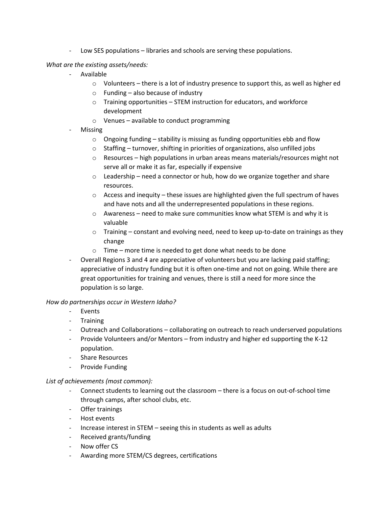- Low SES populations – libraries and schools are serving these populations.

### *What are the existing assets/needs:*

- Available
	- $\circ$  Volunteers there is a lot of industry presence to support this, as well as higher ed
	- $\circ$  Funding also because of industry
	- o Training opportunities STEM instruction for educators, and workforce development
	- o Venues available to conduct programming
- **Missing** 
	- $\circ$  Ongoing funding stability is missing as funding opportunities ebb and flow
	- $\circ$  Staffing turnover, shifting in priorities of organizations, also unfilled jobs
	- $\circ$  Resources high populations in urban areas means materials/resources might not serve all or make it as far, especially if expensive
	- o Leadership need a connector or hub, how do we organize together and share resources.
	- $\circ$  Access and inequity these issues are highlighted given the full spectrum of haves and have nots and all the underrepresented populations in these regions.
	- $\circ$  Awareness need to make sure communities know what STEM is and why it is valuable
	- $\circ$  Training constant and evolving need, need to keep up-to-date on trainings as they change
	- o Time more time is needed to get done what needs to be done
- Overall Regions 3 and 4 are appreciative of volunteers but you are lacking paid staffing; appreciative of industry funding but it is often one-time and not on going. While there are great opportunities for training and venues, there is still a need for more since the population is so large.

### *How do partnerships occur in Western Idaho?*

- Events
- Training
- Outreach and Collaborations collaborating on outreach to reach underserved populations
- Provide Volunteers and/or Mentors from industry and higher ed supporting the K-12 population.
- Share Resources
- Provide Funding

### *List of achievements (most common):*

- Connect students to learning out the classroom there is a focus on out-of-school time through camps, after school clubs, etc.
- Offer trainings
- Host events
- Increase interest in STEM seeing this in students as well as adults
- Received grants/funding
- Now offer CS
- Awarding more STEM/CS degrees, certifications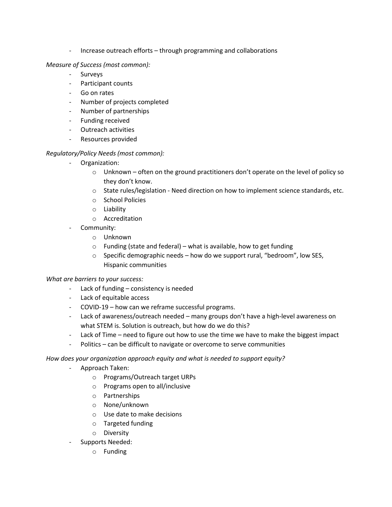- Increase outreach efforts – through programming and collaborations

### *Measure of Success (most common):*

- Surveys
- Participant counts
- Go on rates
- Number of projects completed
- Number of partnerships
- Funding received
- Outreach activities
- Resources provided

# *Regulatory/Policy Needs (most common):*

- Organization:
	- $\circ$  Unknown often on the ground practitioners don't operate on the level of policy so they don't know.
	- $\circ$  State rules/legislation Need direction on how to implement science standards, etc.
	- o School Policies
	- o Liability
	- o Accreditation
- Community:
	- o Unknown
	- $\circ$  Funding (state and federal) what is available, how to get funding
	- o Specific demographic needs how do we support rural, "bedroom", low SES, Hispanic communities

# *What are barriers to your success:*

- Lack of funding consistency is needed
- Lack of equitable access
- COVID-19 how can we reframe successful programs.
- Lack of awareness/outreach needed many groups don't have a high-level awareness on what STEM is. Solution is outreach, but how do we do this?
- Lack of Time need to figure out how to use the time we have to make the biggest impact
- Politics can be difficult to navigate or overcome to serve communities

# *How does your organization approach equity and what is needed to support equity?*

- Approach Taken:
	- o Programs/Outreach target URPs
	- o Programs open to all/inclusive
	- o Partnerships
	- o None/unknown
	- o Use date to make decisions
	- o Targeted funding
	- o Diversity
- Supports Needed:
	- o Funding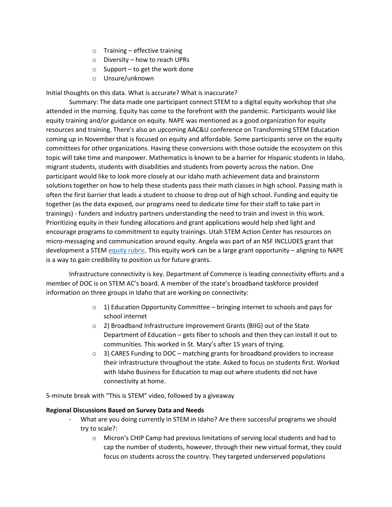- $\circ$  Training effective training
- o Diversity how to reach UPRs
- $\circ$  Support to get the work done
- o Unsure/unknown

Initial thoughts on this data. What is accurate? What is inaccurate?

Summary: The data made one participant connect STEM to a digital equity workshop that she attended in the morning. Equity has come to the forefront with the pandemic. Participants would like equity training and/or guidance on equity. NAPE was mentioned as a good organization for equity resources and training. There's also an upcoming AAC&U conference on Transforming STEM Education coming up in November that is focused on equity and affordable. Some participants serve on the equity committees for other organizations. Having these conversions with those outside the ecosystem on this topic will take time and manpower. Mathematics is known to be a barrier for Hispanic students in Idaho, migrant students, students with disabilities and students from poverty across the nation. One participant would like to look more closely at our Idaho math achievement data and brainstorm solutions together on how to help these students pass their math classes in high school. Passing math is often the first barrier that leads a student to choose to drop out of high school. Funding and equity tie together (as the data exposed, our programs need to dedicate time for their staff to take part in trainings) - funders and industry partners understanding the need to train and invest in this work. Prioritizing equity in their funding allocations and grant applications would help shed light and encourage programs to commitment to equity trainings. Utah STEM Action Center has resources on micro-messaging and communication around equity. Angela was part of an NSF INCLUDES grant that development a STEM [equity rubric.](https://napequity.org/stem/stem-equity-project/imstem/stem-equity-program-evaluation-rubric/) This equity work can be a large grant opportunity – aligning to NAPE is a way to gain credibility to position us for future grants.

Infrastructure connectivity is key. Department of Commerce is leading connectivity efforts and a member of DOC is on STEM AC's board. A member of the state's broadband taskforce provided information on three groups in Idaho that are working on connectivity:

- $\circ$  1) Education Opportunity Committee bringing internet to schools and pays for school internet
- o 2) Broadband Infrastructure Improvement Grants (BIIG) out of the State Department of Education – gets fiber to schools and then they can install it out to communities. This worked in St. Mary's after 15 years of trying.
- $\circ$  3) CARES Funding to DOC matching grants for broadband providers to increase their infrastructure throughout the state. Asked to focus on students first. Worked with Idaho Business for Education to map out where students did not have connectivity at home.

5-minute break with "This is STEM" video, followed by a giveaway

### **Regional Discussions Based on Survey Data and Needs**

- What are you doing currently in STEM in Idaho? Are there successful programs we should try to scale?:
	- o Micron's CHIP Camp had previous limitations of serving local students and had to cap the number of students, however, through their new virtual format, they could focus on students across the country. They targeted underserved populations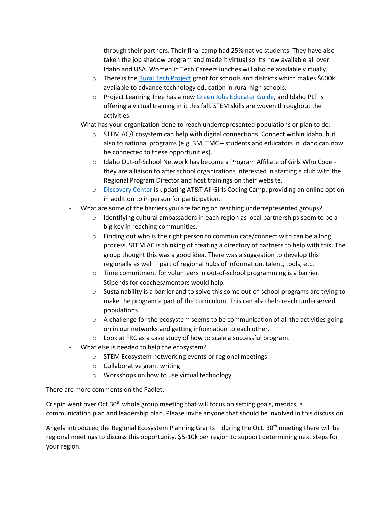through their partners. Their final camp had 25% native students. They have also taken the job shadow program and made it virtual so it's now available all over Idaho and USA. Women in Tech Careers lunches will also be available virtually.

- $\circ$  There is the [Rural Tech Project](https://www.ruraltechprojects.com/) grant for schools and districts which makes \$600k available to advance technology education in rural high schools.
- o Project Learning Tree has a new [Green Jobs Educator Guide,](https://idahoforests.org/event/green-jobs-exploring-forest-careers-virtual-workshop/) and Idaho PLT is offering a virtual training in it this fall. STEM skills are woven throughout the activities.
- What has your organization done to reach underrepresented populations or plan to do:
	- o STEM AC/Ecosystem can help with digital connections. Connect within Idaho, but also to national programs (e.g. 3M, TMC – students and educators in Idaho can now be connected to these opportunities).
	- o Idaho Out-of-School Network has become a Program Affiliate of Girls Who Code they are a liaison to after school organizations interested in starting a club with the Regional Program Director and host trainings on their website.
	- o [Discovery Center](https://www.dcidaho.org/programs-events/camps/) is updating AT&T All Girls Coding Camp, providing an online option in addition to in person for participation.
- What are some of the barriers you are facing on reaching underrepresented groups?
	- $\circ$  Identifying cultural ambassadors in each region as local partnerships seem to be a big key in reaching communities.
	- o Finding out who is the right person to communicate/connect with can be a long process. STEM AC is thinking of creating a directory of partners to help with this. The group thought this was a good idea. There was a suggestion to develop this regionally as well – part of regional hubs of information, talent, tools, etc.
	- $\circ$  Time commitment for volunteers in out-of-school programming is a barrier. Stipends for coaches/mentors would help.
	- $\circ$  Sustainability is a barrier and to solve this some out-of-school programs are trying to make the program a part of the curriculum. This can also help reach underserved populations.
	- $\circ$  A challenge for the ecosystem seems to be communication of all the activities going on in our networks and getting information to each other.
	- o Look at FRC as a case study of how to scale a successful program.
- What else is needed to help the ecosystem?
	- o STEM Ecosystem networking events or regional meetings
	- o Collaborative grant writing
	- o Workshops on how to use virtual technology

There are more comments on the Padlet.

Crispin went over Oct 30<sup>th</sup> whole group meeting that will focus on setting goals, metrics, a communication plan and leadership plan. Please invite anyone that should be involved in this discussion.

Angela introduced the Regional Ecosystem Planning Grants – during the Oct. 30<sup>th</sup> meeting there will be regional meetings to discuss this opportunity. \$5-10k per region to support determining next steps for your region.